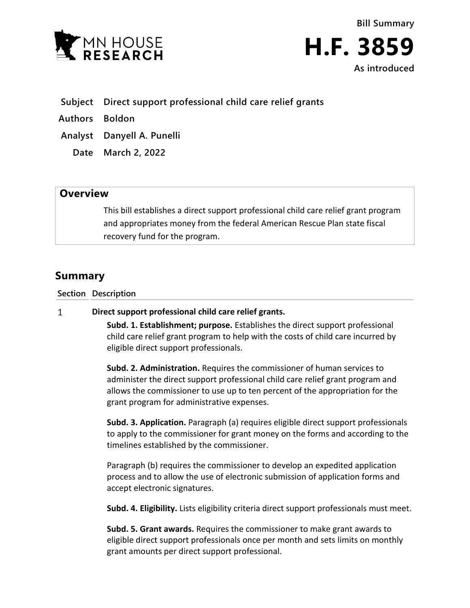



- **Subject Direct support professional child care relief grants**
- **Authors Boldon**
- **Analyst Danyell A. Punelli**
	- **Date March 2, 2022**

## **Overview**

This bill establishes a direct support professional child care relief grant program and appropriates money from the federal American Rescue Plan state fiscal recovery fund for the program.

# **Summary**

**Section Description**

#### $\mathbf{1}$ **Direct support professional child care relief grants.**

**Subd. 1. Establishment; purpose.** Establishes the direct support professional child care relief grant program to help with the costs of child care incurred by eligible direct support professionals.

**Subd. 2. Administration.** Requires the commissioner of human services to administer the direct support professional child care relief grant program and allows the commissioner to use up to ten percent of the appropriation for the grant program for administrative expenses.

**Subd. 3. Application.** Paragraph (a) requires eligible direct support professionals to apply to the commissioner for grant money on the forms and according to the timelines established by the commissioner.

Paragraph (b) requires the commissioner to develop an expedited application process and to allow the use of electronic submission of application forms and accept electronic signatures.

**Subd. 4. Eligibility.** Lists eligibility criteria direct support professionals must meet.

**Subd. 5. Grant awards.** Requires the commissioner to make grant awards to eligible direct support professionals once per month and sets limits on monthly grant amounts per direct support professional.